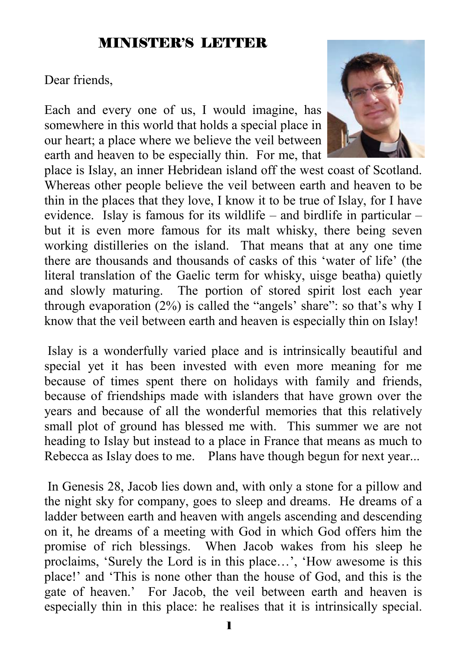#### MINISTER'S LETTER

Dear friends,

Each and every one of us, I would imagine, has somewhere in this world that holds a special place in our heart; a place where we believe the veil between earth and heaven to be especially thin. For me, that



place is Islay, an inner Hebridean island off the west coast of Scotland. Whereas other people believe the veil between earth and heaven to be thin in the places that they love, I know it to be true of Islay, for I have evidence. Islay is famous for its wildlife – and birdlife in particular – but it is even more famous for its malt whisky, there being seven working distilleries on the island. That means that at any one time there are thousands and thousands of casks of this 'water of life' (the literal translation of the Gaelic term for whisky, uisge beatha) quietly and slowly maturing. The portion of stored spirit lost each year through evaporation (2%) is called the "angels' share": so that's why I know that the veil between earth and heaven is especially thin on Islay!

 Islay is a wonderfully varied place and is intrinsically beautiful and special yet it has been invested with even more meaning for me because of times spent there on holidays with family and friends, because of friendships made with islanders that have grown over the years and because of all the wonderful memories that this relatively small plot of ground has blessed me with. This summer we are not heading to Islay but instead to a place in France that means as much to Rebecca as Islay does to me. Plans have though begun for next year...

 In Genesis 28, Jacob lies down and, with only a stone for a pillow and the night sky for company, goes to sleep and dreams. He dreams of a ladder between earth and heaven with angels ascending and descending on it, he dreams of a meeting with God in which God offers him the promise of rich blessings. When Jacob wakes from his sleep he proclaims, 'Surely the Lord is in this place…', 'How awesome is this place!' and 'This is none other than the house of God, and this is the gate of heaven.' For Jacob, the veil between earth and heaven is especially thin in this place: he realises that it is intrinsically special.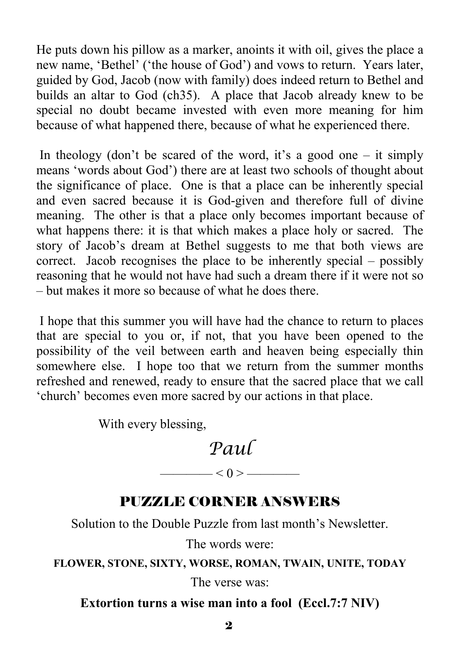He puts down his pillow as a marker, anoints it with oil, gives the place a new name, 'Bethel' ('the house of God') and vows to return. Years later, guided by God, Jacob (now with family) does indeed return to Bethel and builds an altar to God (ch35). A place that Jacob already knew to be special no doubt became invested with even more meaning for him because of what happened there, because of what he experienced there.

In theology (don't be scared of the word, it's a good one – it simply means 'words about God') there are at least two schools of thought about the significance of place. One is that a place can be inherently special and even sacred because it is God-given and therefore full of divine meaning. The other is that a place only becomes important because of what happens there: it is that which makes a place holy or sacred. The story of Jacob's dream at Bethel suggests to me that both views are correct. Jacob recognises the place to be inherently special – possibly reasoning that he would not have had such a dream there if it were not so – but makes it more so because of what he does there.

 I hope that this summer you will have had the chance to return to places that are special to you or, if not, that you have been opened to the possibility of the veil between earth and heaven being especially thin somewhere else. I hope too that we return from the summer months refreshed and renewed, ready to ensure that the sacred place that we call 'church' becomes even more sacred by our actions in that place.

With every blessing,

### *Paul*

### PUZZLE CORNER ANSWERS

———— < 0 > ————

Solution to the Double Puzzle from last month's Newsletter.

The words were:

**FLOWER, STONE, SIXTY, WORSE, ROMAN, TWAIN, UNITE, TODAY**

The verse was:

**Extortion turns a wise man into a fool (Eccl.7:7 NIV)**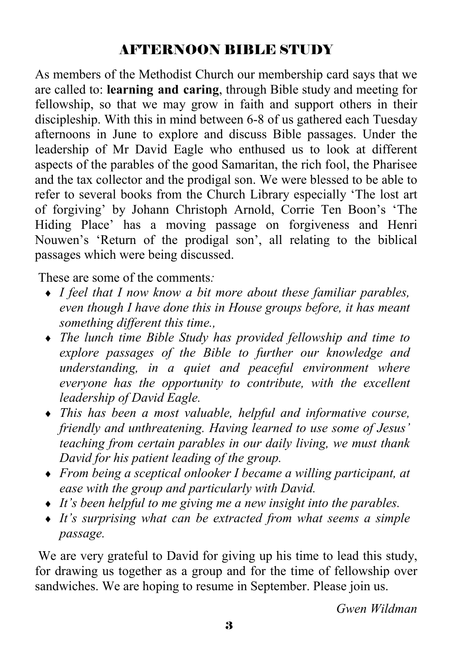### AFTERNOON BIBLE STUDY

As members of the Methodist Church our membership card says that we are called to: **learning and caring**, through Bible study and meeting for fellowship, so that we may grow in faith and support others in their discipleship. With this in mind between 6-8 of us gathered each Tuesday afternoons in June to explore and discuss Bible passages. Under the leadership of Mr David Eagle who enthused us to look at different aspects of the parables of the good Samaritan, the rich fool, the Pharisee and the tax collector and the prodigal son. We were blessed to be able to refer to several books from the Church Library especially 'The lost art of forgiving' by Johann Christoph Arnold, Corrie Ten Boon's 'The Hiding Place' has a moving passage on forgiveness and Henri Nouwen's 'Return of the prodigal son', all relating to the biblical passages which were being discussed.

These are some of the comments*:* 

- ♦ *I feel that I now know a bit more about these familiar parables, even though I have done this in House groups before, it has meant something different this time.,*
- ♦ *The lunch time Bible Study has provided fellowship and time to explore passages of the Bible to further our knowledge and understanding, in a quiet and peaceful environment where everyone has the opportunity to contribute, with the excellent leadership of David Eagle.*
- ♦ *This has been a most valuable, helpful and informative course, friendly and unthreatening. Having learned to use some of Jesus' teaching from certain parables in our daily living, we must thank David for his patient leading of the group.*
- ♦ *From being a sceptical onlooker I became a willing participant, at ease with the group and particularly with David.*
- ♦ *It's been helpful to me giving me a new insight into the parables.*
- ♦ *It's surprising what can be extracted from what seems a simple passage.*

 We are very grateful to David for giving up his time to lead this study, for drawing us together as a group and for the time of fellowship over sandwiches. We are hoping to resume in September. Please join us.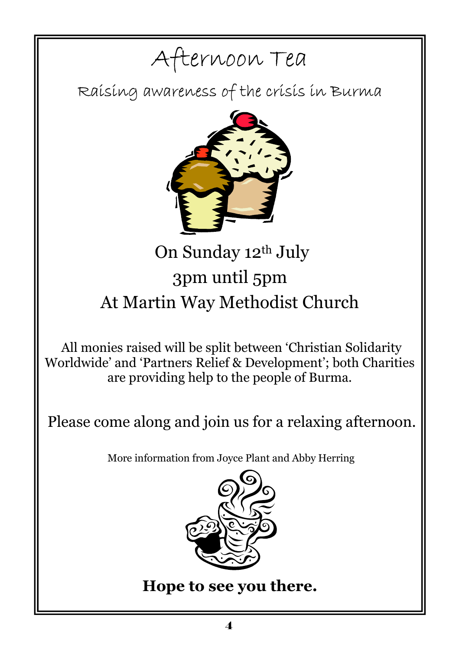# Afternoon Tea

Raising awareness of the crisis in Burma



# On Sunday 12th July 3pm until 5pm At Martin Way Methodist Church

All monies raised will be split between 'Christian Solidarity Worldwide' and 'Partners Relief & Development'; both Charities are providing help to the people of Burma.

Please come along and join us for a relaxing afternoon.

More information from Joyce Plant and Abby Herring



**Hope to see you there.**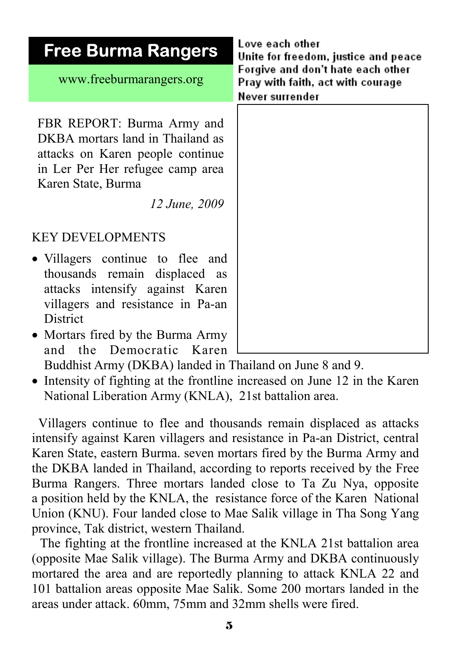| <b>Free Burma Rangers</b>                                                                                                                                                                                                 | Love each other<br>Unite for freedom, justice and peace<br>Forgive and don't hate each other<br>Pray with faith, act with courage<br>Never surrender |  |
|---------------------------------------------------------------------------------------------------------------------------------------------------------------------------------------------------------------------------|------------------------------------------------------------------------------------------------------------------------------------------------------|--|
| www.freeburmarangers.org                                                                                                                                                                                                  |                                                                                                                                                      |  |
| FBR REPORT: Burma Army and<br>DKBA mortars land in Thailand as<br>attacks on Karen people continue<br>in Ler Per Her refugee camp area<br>Karen State, Burma<br>12 June, 2009                                             |                                                                                                                                                      |  |
| <b>KEY DEVELOPMENTS</b>                                                                                                                                                                                                   |                                                                                                                                                      |  |
| • Villagers continue to flee and<br>thousands remain displaced as<br>attacks intensify against Karen<br>villagers and resistance in Pa-an<br>District<br>• Mortars fired by the Burma Army<br>the Democratic Karen<br>and |                                                                                                                                                      |  |

Buddhist Army (DKBA) landed in Thailand on June 8 and 9.

• Intensity of fighting at the frontline increased on June 12 in the Karen National Liberation Army (KNLA), 21st battalion area.

 Villagers continue to flee and thousands remain displaced as attacks intensify against Karen villagers and resistance in Pa-an District, central Karen State, eastern Burma. seven mortars fired by the Burma Army and the DKBA landed in Thailand, according to reports received by the Free Burma Rangers. Three mortars landed close to Ta Zu Nya, opposite a position held by the KNLA, the resistance force of the Karen National Union (KNU). Four landed close to Mae Salik village in Tha Song Yang province, Tak district, western Thailand.

 The fighting at the frontline increased at the KNLA 21st battalion area (opposite Mae Salik village). The Burma Army and DKBA continuously mortared the area and are reportedly planning to attack KNLA 22 and 101 battalion areas opposite Mae Salik. Some 200 mortars landed in the areas under attack. 60mm, 75mm and 32mm shells were fired.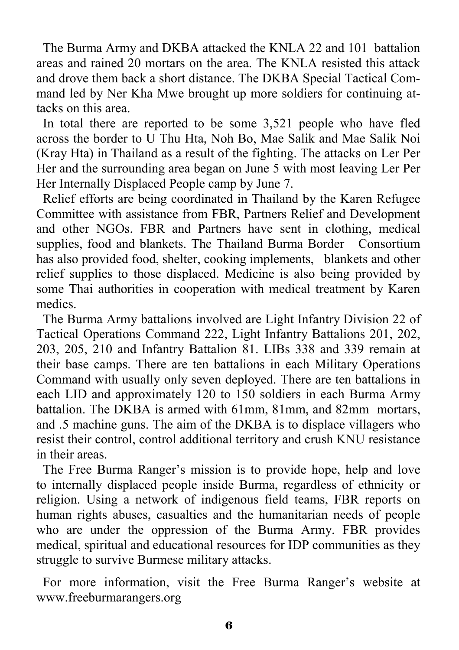The Burma Army and DKBA attacked the KNLA 22 and 101 battalion areas and rained 20 mortars on the area. The KNLA resisted this attack and drove them back a short distance. The DKBA Special Tactical Command led by Ner Kha Mwe brought up more soldiers for continuing attacks on this area.

 In total there are reported to be some 3,521 people who have fled across the border to U Thu Hta, Noh Bo, Mae Salik and Mae Salik Noi (Kray Hta) in Thailand as a result of the fighting. The attacks on Ler Per Her and the surrounding area began on June 5 with most leaving Ler Per Her Internally Displaced People camp by June 7.

 Relief efforts are being coordinated in Thailand by the Karen Refugee Committee with assistance from FBR, Partners Relief and Development and other NGOs. FBR and Partners have sent in clothing, medical supplies, food and blankets. The Thailand Burma Border Consortium has also provided food, shelter, cooking implements, blankets and other relief supplies to those displaced. Medicine is also being provided by some Thai authorities in cooperation with medical treatment by Karen medics.

 The Burma Army battalions involved are Light Infantry Division 22 of Tactical Operations Command 222, Light Infantry Battalions 201, 202, 203, 205, 210 and Infantry Battalion 81. LIBs 338 and 339 remain at their base camps. There are ten battalions in each Military Operations Command with usually only seven deployed. There are ten battalions in each LID and approximately 120 to 150 soldiers in each Burma Army battalion. The DKBA is armed with 61mm, 81mm, and 82mm mortars, and .5 machine guns. The aim of the DKBA is to displace villagers who resist their control, control additional territory and crush KNU resistance in their areas.

 The Free Burma Ranger's mission is to provide hope, help and love to internally displaced people inside Burma, regardless of ethnicity or religion. Using a network of indigenous field teams, FBR reports on human rights abuses, casualties and the humanitarian needs of people who are under the oppression of the Burma Army. FBR provides medical, spiritual and educational resources for IDP communities as they struggle to survive Burmese military attacks.

 For more information, visit the Free Burma Ranger's website at www.freeburmarangers.org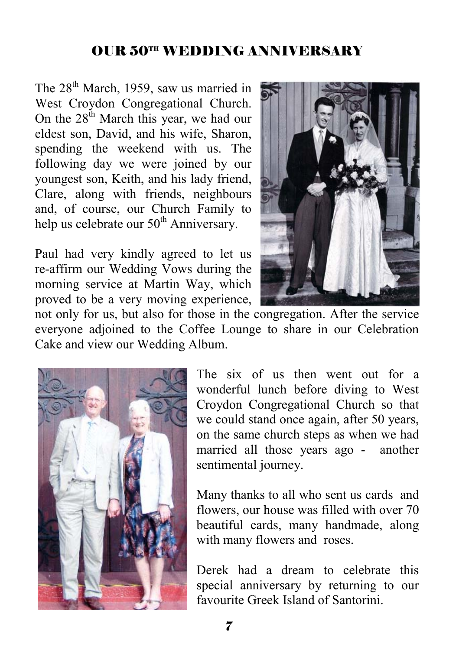### OUR 50TH WEDDING ANNIVERSARY

The 28<sup>th</sup> March, 1959, saw us married in West Croydon Congregational Church. On the  $28<sup>th</sup>$  March this year, we had our eldest son, David, and his wife, Sharon, spending the weekend with us. The following day we were joined by our youngest son, Keith, and his lady friend, Clare, along with friends, neighbours and, of course, our Church Family to help us celebrate our  $50<sup>th</sup>$  Anniversary.

Paul had very kindly agreed to let us re-affirm our Wedding Vows during the morning service at Martin Way, which proved to be a very moving experience,



not only for us, but also for those in the congregation. After the service everyone adjoined to the Coffee Lounge to share in our Celebration Cake and view our Wedding Album.



The six of us then went out for a wonderful lunch before diving to West Croydon Congregational Church so that we could stand once again, after 50 years, on the same church steps as when we had married all those years ago - another sentimental journey.

Many thanks to all who sent us cards and flowers, our house was filled with over 70 beautiful cards, many handmade, along with many flowers and roses.

Derek had a dream to celebrate this special anniversary by returning to our favourite Greek Island of Santorini.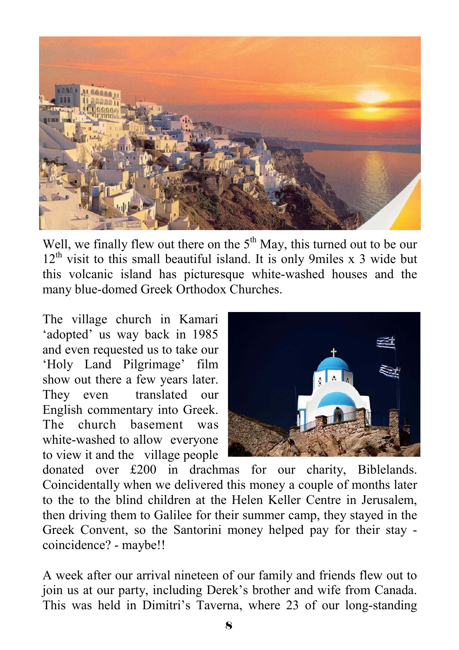

Well, we finally flew out there on the  $5<sup>th</sup>$  May, this turned out to be our  $12<sup>th</sup>$  visit to this small beautiful island. It is only 9miles x 3 wide but this volcanic island has picturesque white-washed houses and the many blue-domed Greek Orthodox Churches.

The village church in Kamari 'adopted' us way back in 1985 and even requested us to take our 'Holy Land Pilgrimage' film show out there a few years later. They even translated our English commentary into Greek. The church basement was white-washed to allow everyone to view it and the village people



donated over £200 in drachmas for our charity, Biblelands. Coincidentally when we delivered this money a couple of months later to the to the blind children at the Helen Keller Centre in Jerusalem, then driving them to Galilee for their summer camp, they stayed in the Greek Convent, so the Santorini money helped pay for their stay coincidence? - maybe!!

A week after our arrival nineteen of our family and friends flew out to join us at our party, including Derek's brother and wife from Canada. This was held in Dimitri's Taverna, where 23 of our long-standing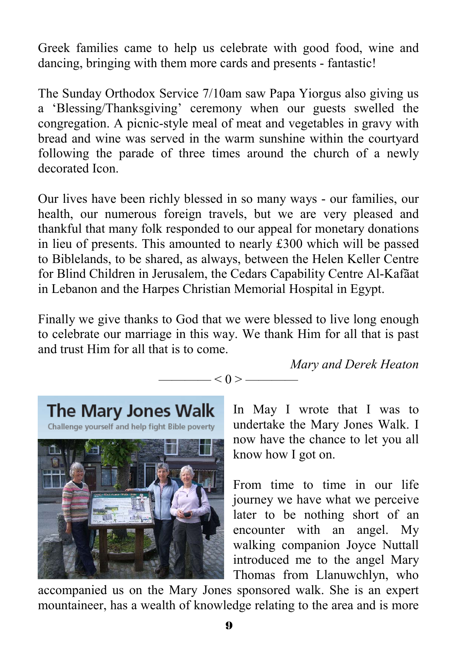Greek families came to help us celebrate with good food, wine and dancing, bringing with them more cards and presents - fantastic!

The Sunday Orthodox Service 7/10am saw Papa Yiorgus also giving us a 'Blessing/Thanksgiving' ceremony when our guests swelled the congregation. A picnic-style meal of meat and vegetables in gravy with bread and wine was served in the warm sunshine within the courtyard following the parade of three times around the church of a newly decorated Icon.

Our lives have been richly blessed in so many ways - our families, our health, our numerous foreign travels, but we are very pleased and thankful that many folk responded to our appeal for monetary donations in lieu of presents. This amounted to nearly £300 which will be passed to Biblelands, to be shared, as always, between the Helen Keller Centre for Blind Children in Jerusalem, the Cedars Capability Centre Al-Kafãat in Lebanon and the Harpes Christian Memorial Hospital in Egypt.

Finally we give thanks to God that we were blessed to live long enough to celebrate our marriage in this way. We thank Him for all that is past and trust Him for all that is to come.

 $- < 0 > -$ 

*Mary and Derek Heaton* 



In May I wrote that I was to undertake the Mary Jones Walk. I now have the chance to let you all know how I got on.

From time to time in our life journey we have what we perceive later to be nothing short of an encounter with an angel. My walking companion Joyce Nuttall introduced me to the angel Mary Thomas from Llanuwchlyn, who

accompanied us on the Mary Jones sponsored walk. She is an expert mountaineer, has a wealth of knowledge relating to the area and is more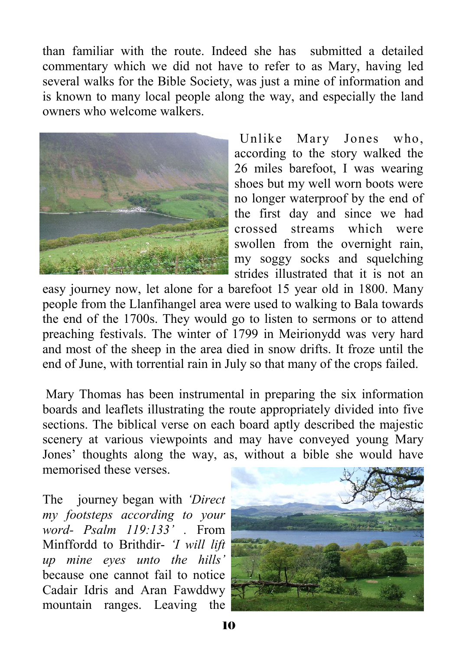than familiar with the route. Indeed she has submitted a detailed commentary which we did not have to refer to as Mary, having led several walks for the Bible Society, was just a mine of information and is known to many local people along the way, and especially the land owners who welcome walkers.



 Unlike Mary Jones who, according to the story walked the 26 miles barefoot, I was wearing shoes but my well worn boots were no longer waterproof by the end of the first day and since we had crossed streams which were swollen from the overnight rain, my soggy socks and squelching strides illustrated that it is not an

easy journey now, let alone for a barefoot 15 year old in 1800. Many people from the Llanfihangel area were used to walking to Bala towards the end of the 1700s. They would go to listen to sermons or to attend preaching festivals. The winter of 1799 in Meirionydd was very hard and most of the sheep in the area died in snow drifts. It froze until the end of June, with torrential rain in July so that many of the crops failed.

 Mary Thomas has been instrumental in preparing the six information boards and leaflets illustrating the route appropriately divided into five sections. The biblical verse on each board aptly described the majestic scenery at various viewpoints and may have conveyed young Mary Jones' thoughts along the way, as, without a bible she would have memorised these verses.

The journey began with *'Direct my footsteps according to your word- Psalm 119:133' .* From Minffordd to Brithdir- *'I will lift up mine eyes unto the hills'* because one cannot fail to notice Cadair Idris and Aran Fawddwy mountain ranges. Leaving the

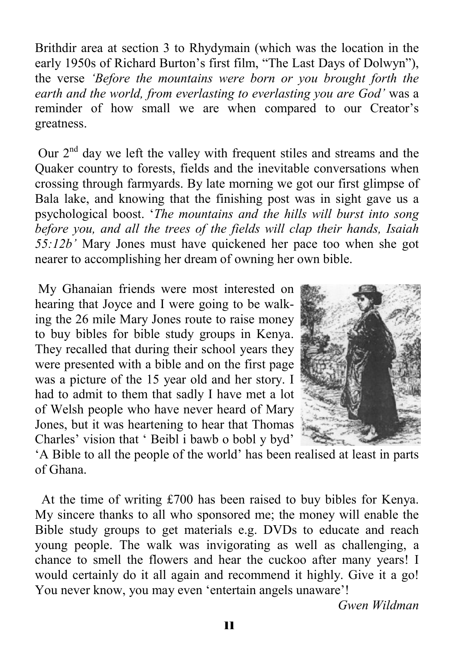Brithdir area at section 3 to Rhydymain (which was the location in the early 1950s of Richard Burton's first film, "The Last Days of Dolwyn"), the verse *'Before the mountains were born or you brought forth the earth and the world, from everlasting to everlasting you are God'* was a reminder of how small we are when compared to our Creator's greatness.

Our  $2<sup>nd</sup>$  day we left the valley with frequent stiles and streams and the Quaker country to forests, fields and the inevitable conversations when crossing through farmyards. By late morning we got our first glimpse of Bala lake, and knowing that the finishing post was in sight gave us a psychological boost. '*The mountains and the hills will burst into song before you, and all the trees of the fields will clap their hands, Isaiah 55:12b'* Mary Jones must have quickened her pace too when she got nearer to accomplishing her dream of owning her own bible.

 My Ghanaian friends were most interested on hearing that Joyce and I were going to be walking the 26 mile Mary Jones route to raise money to buy bibles for bible study groups in Kenya. They recalled that during their school years they were presented with a bible and on the first page was a picture of the 15 year old and her story. I had to admit to them that sadly I have met a lot of Welsh people who have never heard of Mary Jones, but it was heartening to hear that Thomas Charles' vision that ' Beibl i bawb o bobl y byd'



'A Bible to all the people of the world' has been realised at least in parts of Ghana.

 At the time of writing £700 has been raised to buy bibles for Kenya. My sincere thanks to all who sponsored me; the money will enable the Bible study groups to get materials e.g. DVDs to educate and reach young people. The walk was invigorating as well as challenging, a chance to smell the flowers and hear the cuckoo after many years! I would certainly do it all again and recommend it highly. Give it a go! You never know, you may even 'entertain angels unaware'!

*Gwen Wildman*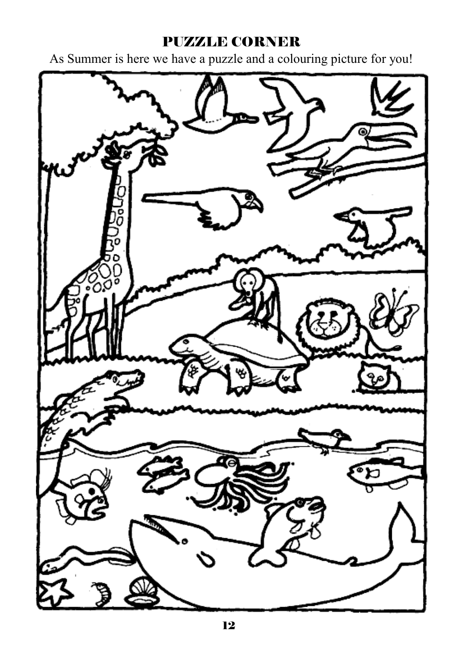#### PUZZLE CORNER

As Summer is here we have a puzzle and a colouring picture for you!

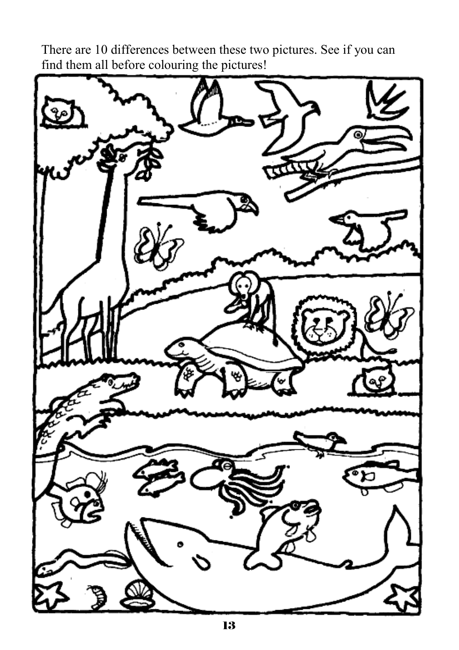There are 10 differences between these two pictures. See if you can find them all before colouring the pictures!

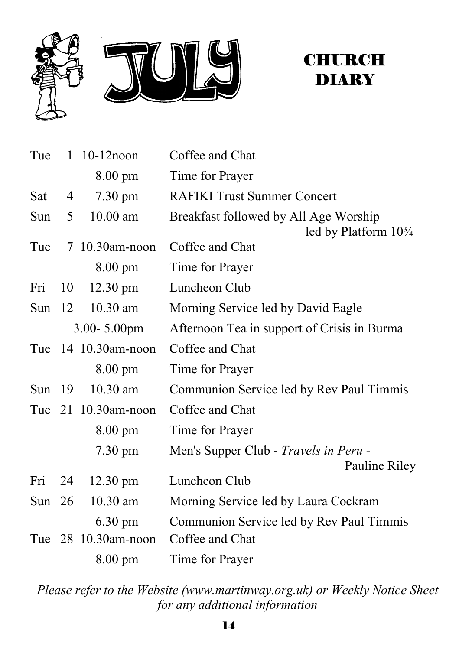

### **CHURCH DIARY**

| Tue      |    | $1 \t10-12$ noon    | Coffee and Chat                                                          |
|----------|----|---------------------|--------------------------------------------------------------------------|
|          |    | $8.00 \text{ pm}$   | Time for Prayer                                                          |
| Sat      | 4  | $7.30 \text{ pm}$   | <b>RAFIKI Trust Summer Concert</b>                                       |
| Sun      | 5  | $10.00$ am          | Breakfast followed by All Age Worship<br>led by Platform $10\frac{3}{4}$ |
| Tue      |    | 7 10.30am-noon      | Coffee and Chat                                                          |
|          |    | $8.00 \text{ pm}$   | Time for Prayer                                                          |
| Fri      | 10 | $12.30 \text{ pm}$  | Luncheon Club                                                            |
| Sun      | 12 | $10.30$ am          | Morning Service led by David Eagle                                       |
|          |    | $3.00 - 5.00$ pm    | Afternoon Tea in support of Crisis in Burma                              |
|          |    | Tue 14 10.30am-noon | Coffee and Chat                                                          |
|          |    | $8.00 \text{ pm}$   | Time for Prayer                                                          |
| Sun $19$ |    | $10.30$ am          | Communion Service led by Rev Paul Timmis                                 |
|          |    | Tue 21 10.30am-noon | Coffee and Chat                                                          |
|          |    | $8.00 \text{ pm}$   | Time for Prayer                                                          |
|          |    | $7.30 \text{ pm}$   | Men's Supper Club - Travels in Peru -<br>Pauline Riley                   |
| Fri      | 24 | $12.30 \text{ pm}$  | Luncheon Club                                                            |
| Sun $26$ |    | 10.30 am            | Morning Service led by Laura Cockram                                     |
|          |    | $6.30 \text{ pm}$   | Communion Service led by Rev Paul Timmis                                 |
|          |    | Tue 28 10.30am-noon | Coffee and Chat                                                          |
|          |    | 8.00 pm             | Time for Prayer                                                          |

*Please refer to the Website (www.martinway.org.uk) or Weekly Notice Sheet for any additional information*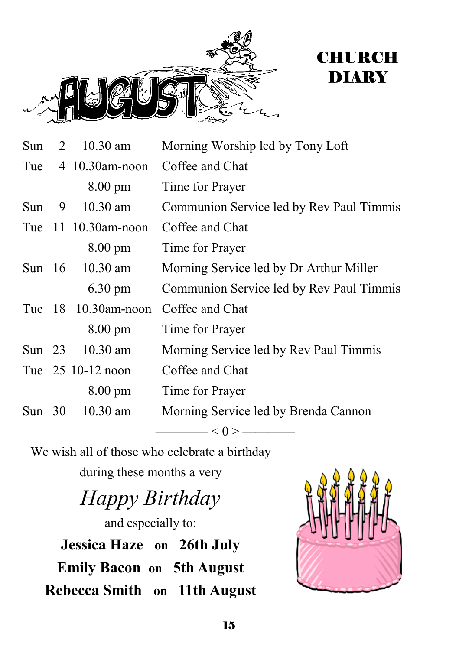



| Sun      | 2 | $10.30$ am              | Morning Worship led by Tony Loft         |
|----------|---|-------------------------|------------------------------------------|
|          |   | Tue $4 \t10.30$ am-noon | Coffee and Chat                          |
|          |   | $8.00 \text{ pm}$       | Time for Prayer                          |
| Sun      | 9 | 10.30 am                | Communion Service led by Rev Paul Timmis |
|          |   | Tue 11 10.30am-noon     | Coffee and Chat                          |
|          |   | $8.00 \text{ pm}$       | Time for Prayer                          |
| Sun $16$ |   | $10.30$ am              | Morning Service led by Dr Arthur Miller  |
|          |   | $6.30 \text{ pm}$       | Communion Service led by Rev Paul Timmis |
|          |   | Tue 18 10.30am-noon     | Coffee and Chat                          |
|          |   | $8.00 \text{ pm}$       | Time for Prayer                          |
| Sun $23$ |   | $10.30$ am              | Morning Service led by Rev Paul Timmis   |
|          |   | Tue 25 10-12 noon       | Coffee and Chat                          |
|          |   | $8.00 \text{ pm}$       | Time for Prayer                          |
| Sun $30$ |   | $10.30$ am              | Morning Service led by Brenda Cannon     |
|          |   |                         | $-\infty$ < () > $-\infty$               |

We wish all of those who celebrate a birthday

during these months a very

## *Happy Birthday*

and especially to: **Jessica Haze on 26th July Emily Bacon on 5th August Rebecca Smith on 11th August**